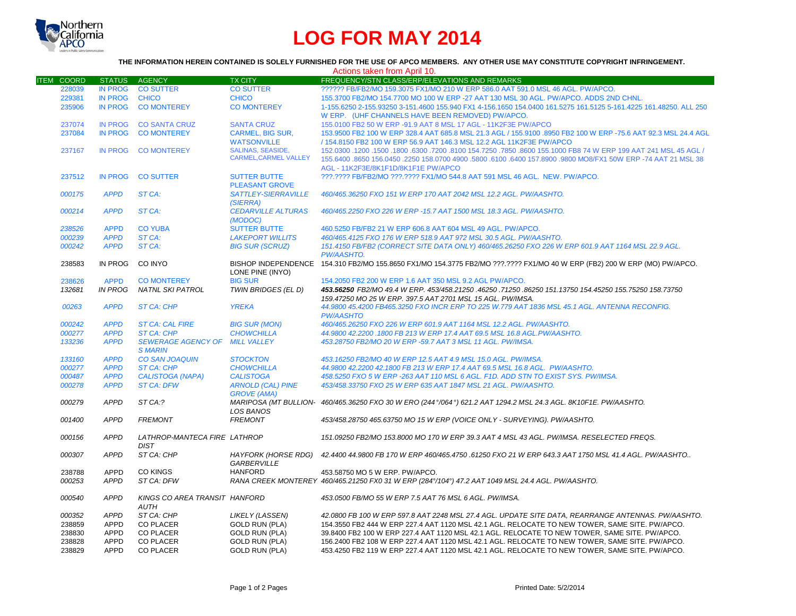

# **LOG FOR MAY 2014**

### **THE INFORMATION HEREIN CONTAINED IS SOLELY FURNISHED FOR THE USE OF APCO MEMBERS. ANY OTHER USE MAY CONSTITUTE COPYRIGHT INFRINGEMENT.**

| Actions taken from April 10. |                |                               |                              |                                                                                                                           |  |  |
|------------------------------|----------------|-------------------------------|------------------------------|---------------------------------------------------------------------------------------------------------------------------|--|--|
| <b>ITEM COORD</b>            | <b>STATUS</b>  | AGENCY                        | <b>TX CITY</b>               | FREQUENCY/STN CLASS/ERP/ELEVATIONS AND REMARKS                                                                            |  |  |
| 228039                       | <b>IN PROG</b> | <b>CO SUTTER</b>              | <b>CO SUTTER</b>             | ?????? FB/FB2/MO 159.3075 FX1/MO 210 W ERP 586.0 AAT 591.0 MSL 46 AGL, PW/APCO,                                           |  |  |
| 229381                       | <b>IN PROG</b> | <b>CHICO</b>                  | <b>CHICO</b>                 | 155.3700 FB2/MO 154.7700 MO 100 W ERP -27 AAT 130 MSL 30 AGL. PW/APCO, ADDS 2ND CHNL.                                     |  |  |
| 235906                       | <b>IN PROG</b> | <b>CO MONTEREY</b>            | <b>CO MONTEREY</b>           | 1-155.6250 2-155.93250 3-151.4600 155.940 FX1 4-156.1650 154.0400 161.5275 161.5125 5-161.4225 161.48250. ALL 250         |  |  |
|                              |                |                               |                              | W ERP. (UHF CHANNELS HAVE BEEN REMOVED) PW/APCO.                                                                          |  |  |
| 237074                       | <b>IN PROG</b> | <b>CO SANTA CRUZ</b>          | <b>SANTA CRUZ</b>            | 155.0100 FB2 50 W ERP -91.9 AAT 8 MSL 17 AGL - 11K2F3E PW/APCO                                                            |  |  |
| 237084                       | <b>IN PROG</b> | <b>CO MONTEREY</b>            | <b>CARMEL, BIG SUR,</b>      | 153.9500 FB2 100 W ERP 328.4 AAT 685.8 MSL 21.3 AGL / 155.9100 .8950 FB2 100 W ERP -75.6 AAT 92.3 MSL 24.4 AGL            |  |  |
|                              |                |                               | <b>WATSONVILLE</b>           | / 154.8150 FB2 100 W ERP 56.9 AAT 146.3 MSL 12.2 AGL 11K2F3E PW/APCO                                                      |  |  |
| 237167                       | <b>IN PROG</b> | <b>CO MONTEREY</b>            | <b>SALINAS, SEASIDE,</b>     | 150. 1800 1800 1800 1800 18100 154.7250 .7850 .8600 155.1000 FB8 74 W ERP 199 AAT 241 MSL 45 AGL /                        |  |  |
|                              |                |                               | <b>CARMEL, CARMEL VALLEY</b> | 155.6400 .8650 156.0450 .2250 158.0700 4900 .5800 .6100 .6400 157.8900 .9800 MO8/FX1 50W ERP -74 AAT 21 MSL 38            |  |  |
|                              |                |                               |                              | AGL - 11K2F3E/8K1F1D/8K1F1E PW/APCO                                                                                       |  |  |
| 237512                       | <b>IN PROG</b> | <b>CO SUTTER</b>              | <b>SUTTER BUTTE</b>          | ???.???? FB/FB2/MO ???.???? FX1/MO 544.8 AAT 591 MSL 46 AGL. NEW. PW/APCO.                                                |  |  |
|                              |                |                               | <b>PLEASANT GROVE</b>        |                                                                                                                           |  |  |
| 000175                       | <b>APPD</b>    | ST CA:                        | <b>SATTLEY-SIERRAVILLE</b>   | 460/465.36250 FXO 151 W ERP 170 AAT 2042 MSL 12.2 AGL, PW/AASHTO.                                                         |  |  |
|                              |                |                               | (SIERRA)                     |                                                                                                                           |  |  |
| 000214                       | <b>APPD</b>    | ST CA:                        | <b>CEDARVILLE ALTURAS</b>    | 460/465.2250 FXO 226 W ERP -15.7 AAT 1500 MSL 18.3 AGL, PW/AASHTO.                                                        |  |  |
|                              |                |                               | (MODOC)                      |                                                                                                                           |  |  |
| 238526                       | <b>APPD</b>    | <b>CO YUBA</b>                | <b>SUTTER BUTTE</b>          | 460.5250 FB/FB2 21 W ERP 606.8 AAT 604 MSL 49 AGL. PW/APCO.                                                               |  |  |
| 000239                       | <b>APPD</b>    | ST CA:                        | <b>LAKEPORT WILLITS</b>      | 460/465.4125 FXO 176 W ERP 518.9 AAT 972 MSL 30.5 AGL. PW/AASHTO.                                                         |  |  |
| 000242                       | <b>APPD</b>    | ST CA:                        | <b>BIG SUR (SCRUZ)</b>       | 151.4150 FB/FB2 (CORRECT SITE DATA ONLY) 460/465.26250 FXO 226 W ERP 601.9 AAT 1164 MSL 22.9 AGL.                         |  |  |
|                              |                |                               |                              | PW/AASHTO.                                                                                                                |  |  |
| 238583                       | IN PROG        | CO INYO                       |                              | BISHOP INDEPENDENCE 154.310 FB2/MO 155.8650 FX1/MO 154.3775 FB2/MO ???.???? FX1/MO 40 W ERP (FB2) 200 W ERP (MO) PW/APCO. |  |  |
|                              |                |                               | LONE PINE (INYO)             |                                                                                                                           |  |  |
| 238626                       | <b>APPD</b>    | <b>CO MONTEREY</b>            | <b>BIG SUR</b>               | 154, 2050 FB2 200 W ERP 1.6 AAT 350 MSL 9.2 AGL PW/APCO.                                                                  |  |  |
| 132681                       | <b>IN PROG</b> | <b>NATNL SKI PATROL</b>       | TWIN BRIDGES (EL D)          | 453.56250 155.75250 158.73750 151.13750 154.45250 155.035250 154.45250 155.75250 158.73750                                |  |  |
|                              |                |                               |                              | 159.47250 MO 25 W ERP. 397.5 AAT 2701 MSL 15 AGL. PW/IMSA.                                                                |  |  |
| 00263                        | <b>APPD</b>    | <b>ST CA: CHP</b>             | <b>YREKA</b>                 | 44.9800 45.4200 FB465.3250 FXO INCR ERP TO 225 W.779 AAT 1836 MSL 45.1 AGL. ANTENNA RECONFIG.                             |  |  |
|                              |                |                               |                              | <b>PW/AASHTO</b>                                                                                                          |  |  |
| 000242                       | <b>APPD</b>    | <b>ST CA: CAL FIRE</b>        | <b>BIG SUR (MON)</b>         | 460/465.26250 FXO 226 W ERP 601.9 AAT 1164 MSL 12.2 AGL. PW/AASHTO.                                                       |  |  |
| 000277                       | <b>APPD</b>    | <b>ST CA: CHP</b>             | <b>CHOWCHILLA</b>            | 44.9800 42.2200 .1800 FB 213 W ERP 17.4 AAT 69.5 MSL 16.8 AGL.PW/AASHTO.                                                  |  |  |
| 133236                       | <b>APPD</b>    | <b>SEWERAGE AGENCY OF</b>     | <b>MILL VALLEY</b>           | 453.28750 FB2/MO 20 W ERP -59.7 AAT 3 MSL 11 AGL. PW/IMSA.                                                                |  |  |
|                              |                | <b>S MARIN</b>                |                              |                                                                                                                           |  |  |
| 133160                       | <b>APPD</b>    | CO SAN JOAQUIN                | <b>STOCKTON</b>              | 453.16250 FB2/MO 40 W ERP 12.5 AAT 4.9 MSL 15.0 AGL, PW/IMSA.                                                             |  |  |
| 000277                       | <b>APPD</b>    | <b>ST CA: CHP</b>             | <b>CHOWCHILLA</b>            | 44.9800 42.2200 42.1800 FB 213 W ERP 17.4 AAT 69.5 MSL 16.8 AGL. PW/AASHTO.                                               |  |  |
| 000487                       | <b>APPD</b>    | <b>CALISTOGA (NAPA)</b>       | <b>CALISTOGA</b>             | 458.5250 FXO 5 W ERP -263 AAT 110 MSL 6 AGL. F1D. ADD STN TO EXIST SYS. PW/IMSA.                                          |  |  |
| 000278                       | <b>APPD</b>    | <b>ST CA: DFW</b>             | <b>ARNOLD (CAL) PINE</b>     | 453/458.33750 FXO 25 W ERP 635 AAT 1847 MSL 21 AGL. PW/AASHTO.                                                            |  |  |
|                              |                |                               | <b>GROVE (AMA)</b>           |                                                                                                                           |  |  |
| 000279                       | <b>APPD</b>    | ST CA:?                       |                              | MARIPOSA (MT BULLION- 460/465.36250 FXO 30 W ERO (244°/064°) 621.2 AAT 1294.2 MSL 24.3 AGL. 8K10F1E. PW/AASHTO.           |  |  |
|                              |                |                               | LOS BANOS                    |                                                                                                                           |  |  |
| 001400                       | <b>APPD</b>    | <b>FREMONT</b>                | <b>FREMONT</b>               | 453/458.28750 465.63750 MO 15 W ERP (VOICE ONLY - SURVEYING). PW/AASHTO.                                                  |  |  |
|                              |                |                               |                              |                                                                                                                           |  |  |
| 000156                       | <b>APPD</b>    | LATHROP-MANTECA FIRE LATHROP  |                              | 151.09250 FB2/MO 153.8000 MO 170 W ERP 39.3 AAT 4 MSL 43 AGL. PW/IMSA. RESELECTED FREQS.                                  |  |  |
|                              |                | <b>DIST</b>                   |                              |                                                                                                                           |  |  |
| 000307                       | <b>APPD</b>    | ST CA: CHP                    |                              | HAYFORK (HORSE RDG) 42.4400 44.9800 FB 170 W ERP 460/465.4750 .61250 FXO 21 W ERP 643.3 AAT 1750 MSL 41.4 AGL. PW/AASHTO  |  |  |
|                              |                |                               | <b>GARBERVILLE</b>           |                                                                                                                           |  |  |
| 238788                       | <b>APPD</b>    | CO KINGS                      | <b>HANFORD</b>               | 453.58750 MO 5 W ERP. PW/APCO.                                                                                            |  |  |
| 000253                       | <b>APPD</b>    | ST CA: DFW                    |                              | RANA CREEK MONTEREY 460/465.21250 FX0 31 W ERP (284°/104°) 47.2 AAT 1049 MSL 24.4 AGL. PW/AASHTO.                         |  |  |
|                              |                |                               |                              |                                                                                                                           |  |  |
| 000540                       | <b>APPD</b>    | KINGS CO AREA TRANSIT HANFORD |                              | 453.0500 FB/MO 55 W ERP 7.5 AAT 76 MSL 6 AGL. PW/IMSA.                                                                    |  |  |
|                              |                | <b>AUTH</b>                   |                              |                                                                                                                           |  |  |
| 000352                       | <b>APPD</b>    | ST CA: CHP                    | <b>LIKELY (LASSEN)</b>       | 42.0800 FB 100 W ERP 597.8 AAT 2248 MSL 27.4 AGL. UPDATE SITE DATA, REARRANGE ANTENNAS. PW/AASHTO.                        |  |  |
| 238859                       | <b>APPD</b>    | <b>CO PLACER</b>              | <b>GOLD RUN (PLA)</b>        | 154.3550 FB2 444 W ERP 227.4 AAT 1120 MSL 42.1 AGL. RELOCATE TO NEW TOWER, SAME SITE. PW/APCO.                            |  |  |
| 238830                       | APPD           | <b>CO PLACER</b>              | <b>GOLD RUN (PLA)</b>        | 39.8400 FB2 100 W ERP 227.4 AAT 1120 MSL 42.1 AGL. RELOCATE TO NEW TOWER, SAME SITE. PW/APCO.                             |  |  |
| 238828                       | <b>APPD</b>    | <b>CO PLACER</b>              | <b>GOLD RUN (PLA)</b>        | 156.2400 FB2 108 W ERP 227.4 AAT 1120 MSL 42.1 AGL. RELOCATE TO NEW TOWER, SAME SITE. PW/APCO.                            |  |  |
| 238829                       | <b>APPD</b>    | <b>CO PLACER</b>              | <b>GOLD RUN (PLA)</b>        | 453.4250 FB2 119 W ERP 227.4 AAT 1120 MSL 42.1 AGL. RELOCATE TO NEW TOWER, SAME SITE. PW/APCO.                            |  |  |
|                              |                |                               |                              |                                                                                                                           |  |  |